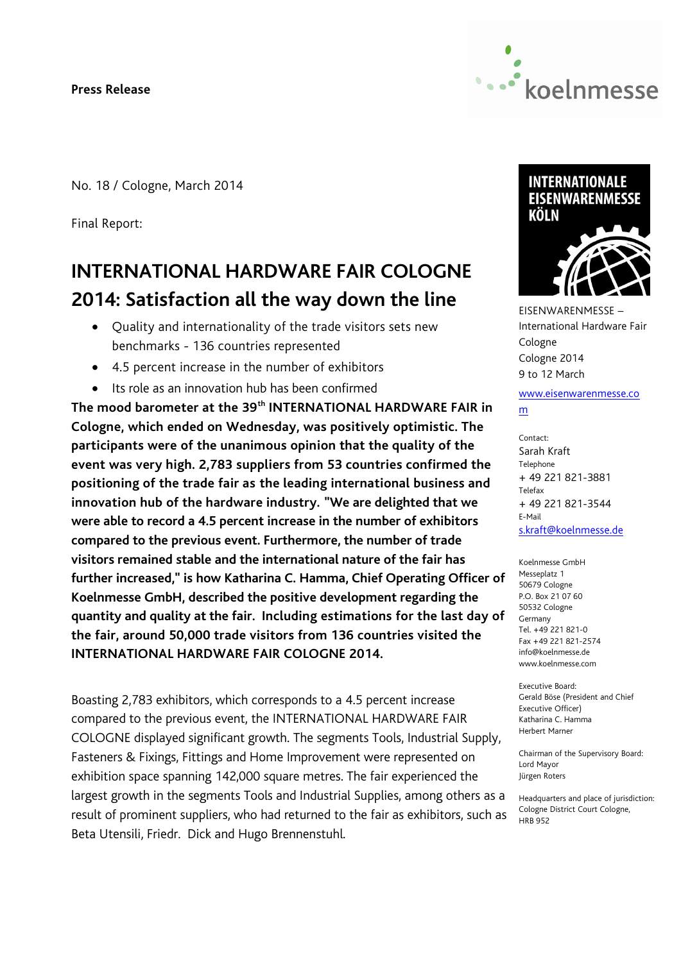**Press Release**



No. 18 / Cologne, March 2014

Final Report:

# **INTERNATIONAL HARDWARE FAIR COLOGNE 2014: Satisfaction all the way down the line**

- Quality and internationality of the trade visitors sets new benchmarks - 136 countries represented
- 4.5 percent increase in the number of exhibitors
- Its role as an innovation hub has been confirmed

**The mood barometer at the 39th INTERNATIONAL HARDWARE FAIR in Cologne, which ended on Wednesday, was positively optimistic. The participants were of the unanimous opinion that the quality of the event was very high. 2,783 suppliers from 53 countries confirmed the positioning of the trade fair as the leading international business and innovation hub of the hardware industry. "We are delighted that we were able to record a 4.5 percent increase in the number of exhibitors compared to the previous event. Furthermore, the number of trade visitors remained stable and the international nature of the fair has further increased," is how Katharina C. Hamma, Chief Operating Officer of Koelnmesse GmbH, described the positive development regarding the quantity and quality at the fair. Including estimations for the last day of the fair, around 50,000 trade visitors from 136 countries visited the INTERNATIONAL HARDWARE FAIR COLOGNE 2014.**

Boasting 2,783 exhibitors, which corresponds to a 4.5 percent increase compared to the previous event, the INTERNATIONAL HARDWARE FAIR COLOGNE displayed significant growth. The segments Tools, Industrial Supply, Fasteners & Fixings, Fittings and Home Improvement were represented on exhibition space spanning 142,000 square metres. The fair experienced the largest growth in the segments Tools and Industrial Supplies, among others as a result of prominent suppliers, who had returned to the fair as exhibitors, such as Beta Utensili, Friedr. Dick and Hugo Brennenstuhl.



EISENWARENMESSE – International Hardware Fair Cologne Cologne 2014 9 to 12 March

#### www.eisenwarenmesse.co m

Contact: Sarah Kraft Telephone + 49 221 821-3881 Telefax + 49 221 821-3544 E-Mail s.kraft@koelnmesse.de

Koelnmesse GmbH Messeplatz 1 50679 Cologne P.O. Box 21 07 60 50532 Cologne Germany Tel. +49 221 821-0 Fax +49 221 821-2574 info@koelnmesse.de www.koelnmesse.com

Executive Board: Gerald Böse (President and Chief Executive Officer) Katharina C. Hamma Herbert Marner

Chairman of the Supervisory Board: Lord Mayor Jürgen Roters

Headquarters and place of jurisdiction: Cologne District Court Cologne, HRB 952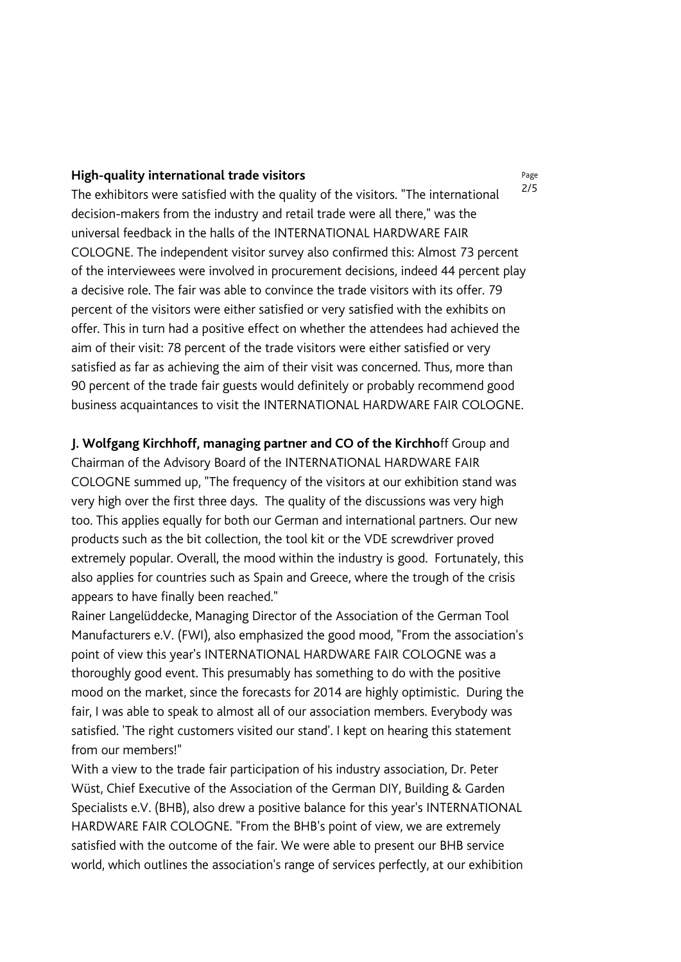### **High-quality international trade visitors**

The exhibitors were satisfied with the quality of the visitors. "The international decision-makers from the industry and retail trade were all there," was the universal feedback in the halls of the INTERNATIONAL HARDWARE FAIR COLOGNE. The independent visitor survey also confirmed this: Almost 73 percent of the interviewees were involved in procurement decisions, indeed 44 percent play a decisive role. The fair was able to convince the trade visitors with its offer. 79 percent of the visitors were either satisfied or very satisfied with the exhibits on offer. This in turn had a positive effect on whether the attendees had achieved the aim of their visit: 78 percent of the trade visitors were either satisfied or very satisfied as far as achieving the aim of their visit was concerned. Thus, more than 90 percent of the trade fair guests would definitely or probably recommend good business acquaintances to visit the INTERNATIONAL HARDWARE FAIR COLOGNE.

# **J. Wolfgang Kirchhoff, managing partner and CO of the Kirchho**ff Group and

Chairman of the Advisory Board of the INTERNATIONAL HARDWARE FAIR COLOGNE summed up, "The frequency of the visitors at our exhibition stand was very high over the first three days. The quality of the discussions was very high too. This applies equally for both our German and international partners. Our new products such as the bit collection, the tool kit or the VDE screwdriver proved extremely popular. Overall, the mood within the industry is good. Fortunately, this also applies for countries such as Spain and Greece, where the trough of the crisis appears to have finally been reached."

Rainer Langelüddecke, Managing Director of the Association of the German Tool Manufacturers e.V. (FWI), also emphasized the good mood, "From the association's point of view this year's INTERNATIONAL HARDWARE FAIR COLOGNE was a thoroughly good event. This presumably has something to do with the positive mood on the market, since the forecasts for 2014 are highly optimistic. During the fair, I was able to speak to almost all of our association members. Everybody was satisfied. 'The right customers visited our stand'. I kept on hearing this statement from our members!"

With a view to the trade fair participation of his industry association, Dr. Peter Wüst, Chief Executive of the Association of the German DIY, Building & Garden Specialists e.V. (BHB), also drew a positive balance for this year's INTERNATIONAL HARDWARE FAIR COLOGNE. "From the BHB's point of view, we are extremely satisfied with the outcome of the fair. We were able to present our BHB service world, which outlines the association's range of services perfectly, at our exhibition

Page 2/5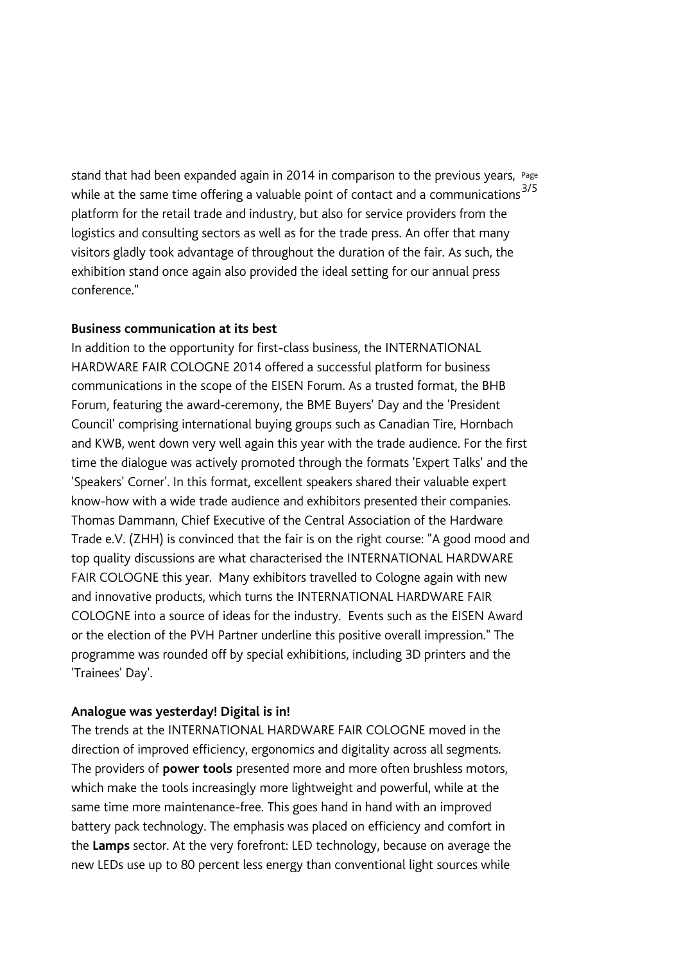stand that had been expanded again in 2014 in comparison to the previous years, Page while at the same time offering a valuable point of contact and a communications<sup>3/5</sup> platform for the retail trade and industry, but also for service providers from the logistics and consulting sectors as well as for the trade press. An offer that many visitors gladly took advantage of throughout the duration of the fair. As such, the exhibition stand once again also provided the ideal setting for our annual press conference."

# **Business communication at its best**

In addition to the opportunity for first-class business, the INTERNATIONAL HARDWARE FAIR COLOGNE 2014 offered a successful platform for business communications in the scope of the EISEN Forum. As a trusted format, the BHB Forum, featuring the award-ceremony, the BME Buyers' Day and the 'President Council' comprising international buying groups such as Canadian Tire, Hornbach and KWB, went down very well again this year with the trade audience. For the first time the dialogue was actively promoted through the formats 'Expert Talks' and the 'Speakers' Corner'. In this format, excellent speakers shared their valuable expert know-how with a wide trade audience and exhibitors presented their companies. Thomas Dammann, Chief Executive of the Central Association of the Hardware Trade e.V. (ZHH) is convinced that the fair is on the right course: "A good mood and top quality discussions are what characterised the INTERNATIONAL HARDWARE FAIR COLOGNE this year. Many exhibitors travelled to Cologne again with new and innovative products, which turns the INTERNATIONAL HARDWARE FAIR COLOGNE into a source of ideas for the industry. Events such as the EISEN Award or the election of the PVH Partner underline this positive overall impression." The programme was rounded off by special exhibitions, including 3D printers and the 'Trainees' Day'.

# **Analogue was yesterday! Digital is in!**

The trends at the INTERNATIONAL HARDWARE FAIR COLOGNE moved in the direction of improved efficiency, ergonomics and digitality across all segments. The providers of **power tools** presented more and more often brushless motors, which make the tools increasingly more lightweight and powerful, while at the same time more maintenance-free. This goes hand in hand with an improved battery pack technology. The emphasis was placed on efficiency and comfort in the **Lamps** sector. At the very forefront: LED technology, because on average the new LEDs use up to 80 percent less energy than conventional light sources while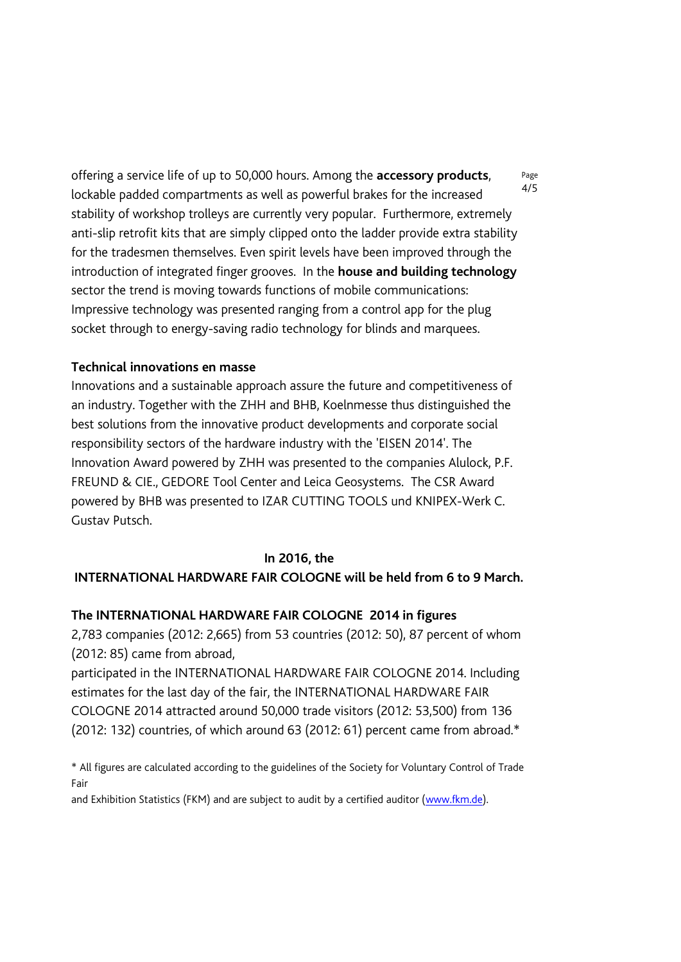offering a service life of up to 50,000 hours. Among the **accessory products**, lockable padded compartments as well as powerful brakes for the increased stability of workshop trolleys are currently very popular. Furthermore, extremely anti-slip retrofit kits that are simply clipped onto the ladder provide extra stability for the tradesmen themselves. Even spirit levels have been improved through the introduction of integrated finger grooves. In the **house and building technology** sector the trend is moving towards functions of mobile communications: Impressive technology was presented ranging from a control app for the plug socket through to energy-saving radio technology for blinds and marquees.

# **Technical innovations en masse**

Innovations and a sustainable approach assure the future and competitiveness of an industry. Together with the ZHH and BHB, Koelnmesse thus distinguished the best solutions from the innovative product developments and corporate social responsibility sectors of the hardware industry with the 'EISEN 2014'. The Innovation Award powered by ZHH was presented to the companies Alulock, P.F. FREUND & CIE., GEDORE Tool Center and Leica Geosystems. The CSR Award powered by BHB was presented to IZAR CUTTING TOOLS und KNIPEX-Werk C. Gustav Putsch.

### **In 2016, the**

## **INTERNATIONAL HARDWARE FAIR COLOGNE will be held from 6 to 9 March.**

## **The INTERNATIONAL HARDWARE FAIR COLOGNE 2014 in figures**

2,783 companies (2012: 2,665) from 53 countries (2012: 50), 87 percent of whom (2012: 85) came from abroad,

participated in the INTERNATIONAL HARDWARE FAIR COLOGNE 2014. Including estimates for the last day of the fair, the INTERNATIONAL HARDWARE FAIR COLOGNE 2014 attracted around 50,000 trade visitors (2012: 53,500) from 136 (2012: 132) countries, of which around 63 (2012: 61) percent came from abroad.\*

\* All figures are calculated according to the guidelines of the Society for Voluntary Control of Trade Fair

and Exhibition Statistics (FKM) and are subject to audit by a certified auditor [\(www.fkm.de\)](file:///C:/Users/Krf/AppData/Local/Microsoft/Windows/Temporary%20Internet%20Files/Content.Outlook/SRCTQCGG/www.fkm.de).

Page 4/5